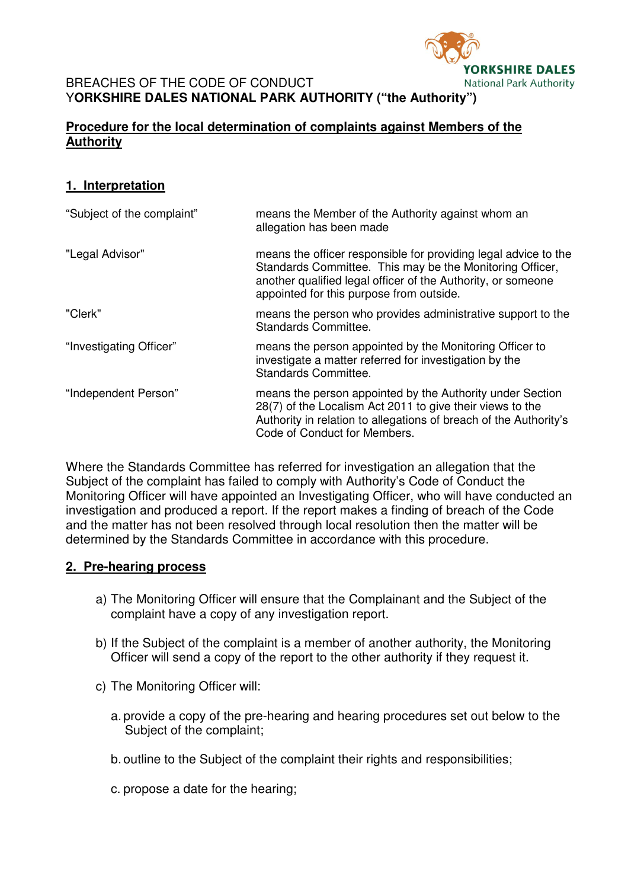

#### BREACHES OF THE CODE OF CONDUCT Y**ORKSHIRE DALES NATIONAL PARK AUTHORITY ("the Authority")**

# **Procedure for the local determination of complaints against Members of the Authority**

# **1. Interpretation**

| "Subject of the complaint" | means the Member of the Authority against whom an<br>allegation has been made                                                                                                                                                           |
|----------------------------|-----------------------------------------------------------------------------------------------------------------------------------------------------------------------------------------------------------------------------------------|
| "Legal Advisor"            | means the officer responsible for providing legal advice to the<br>Standards Committee. This may be the Monitoring Officer,<br>another qualified legal officer of the Authority, or someone<br>appointed for this purpose from outside. |
| "Clerk"                    | means the person who provides administrative support to the<br>Standards Committee.                                                                                                                                                     |
| "Investigating Officer"    | means the person appointed by the Monitoring Officer to<br>investigate a matter referred for investigation by the<br>Standards Committee.                                                                                               |
| "Independent Person"       | means the person appointed by the Authority under Section<br>28(7) of the Localism Act 2011 to give their views to the<br>Authority in relation to allegations of breach of the Authority's<br>Code of Conduct for Members.             |

Where the Standards Committee has referred for investigation an allegation that the Subject of the complaint has failed to comply with Authority's Code of Conduct the Monitoring Officer will have appointed an Investigating Officer, who will have conducted an investigation and produced a report. If the report makes a finding of breach of the Code and the matter has not been resolved through local resolution then the matter will be determined by the Standards Committee in accordance with this procedure.

## **2. Pre-hearing process**

- a) The Monitoring Officer will ensure that the Complainant and the Subject of the complaint have a copy of any investigation report.
- b) If the Subject of the complaint is a member of another authority, the Monitoring Officer will send a copy of the report to the other authority if they request it.
- c) The Monitoring Officer will:
	- a. provide a copy of the pre-hearing and hearing procedures set out below to the Subject of the complaint;
	- b. outline to the Subject of the complaint their rights and responsibilities;
	- c. propose a date for the hearing;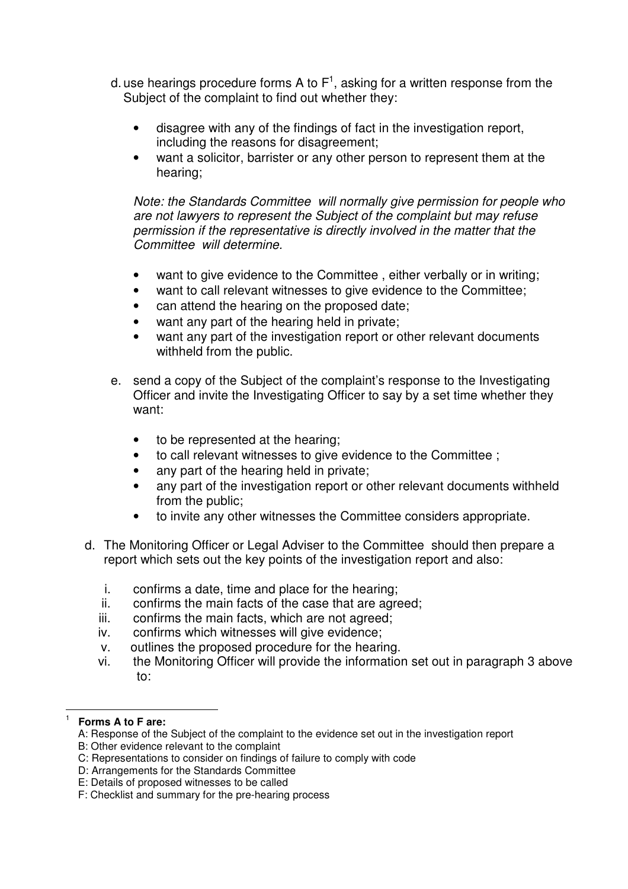- d. use hearings procedure forms A to F<sup>1</sup>, asking for a written response from the Subject of the complaint to find out whether they:
	- disagree with any of the findings of fact in the investigation report, including the reasons for disagreement;
	- want a solicitor, barrister or any other person to represent them at the hearing;

*Note: the Standards Committee will normally give permission for people who are not lawyers to represent the Subject of the complaint but may refuse permission if the representative is directly involved in the matter that the Committee will determine.* 

- want to give evidence to the Committee , either verbally or in writing;
- want to call relevant witnesses to give evidence to the Committee;
- can attend the hearing on the proposed date:
- want any part of the hearing held in private;
- want any part of the investigation report or other relevant documents withheld from the public.
- e. send a copy of the Subject of the complaint's response to the Investigating Officer and invite the Investigating Officer to say by a set time whether they want:
	- to be represented at the hearing;
	- to call relevant witnesses to give evidence to the Committee ;
	- any part of the hearing held in private;
	- any part of the investigation report or other relevant documents withheld from the public;
	- to invite any other witnesses the Committee considers appropriate.
- d. The Monitoring Officer or Legal Adviser to the Committee should then prepare a report which sets out the key points of the investigation report and also:
	- i. confirms a date, time and place for the hearing;
	- ii. confirms the main facts of the case that are agreed;
	- iii. confirms the main facts, which are not agreed;
	- iv. confirms which witnesses will give evidence;
	- v. outlines the proposed procedure for the hearing.
	- vi. the Monitoring Officer will provide the information set out in paragraph 3 above to:

 1

**Forms A to F are:** 

A: Response of the Subject of the complaint to the evidence set out in the investigation report

B: Other evidence relevant to the complaint

C: Representations to consider on findings of failure to comply with code

D: Arrangements for the Standards Committee

E: Details of proposed witnesses to be called

F: Checklist and summary for the pre-hearing process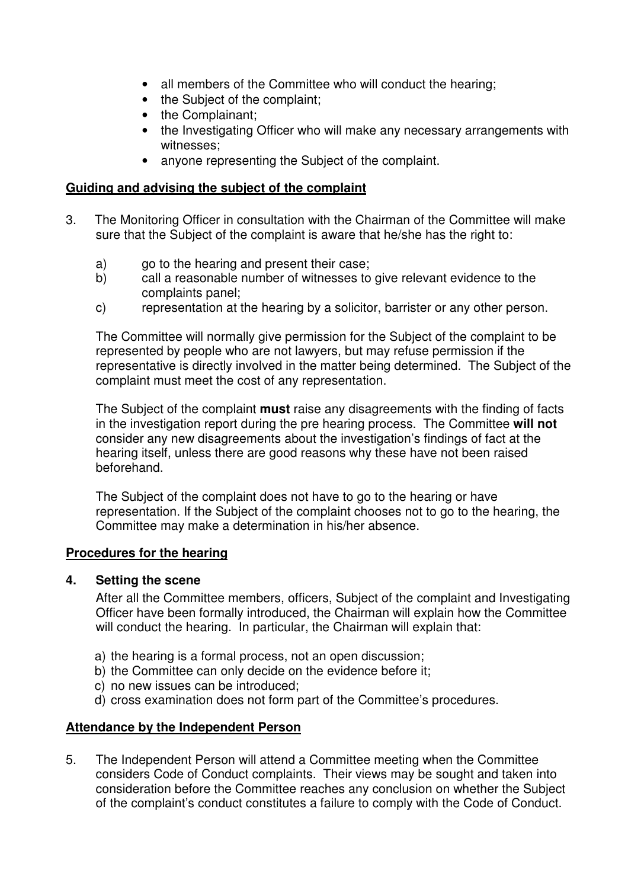- all members of the Committee who will conduct the hearing;
- the Subject of the complaint;
- the Complainant;
- the Investigating Officer who will make any necessary arrangements with witnesses;
- anyone representing the Subject of the complaint.

## **Guiding and advising the subject of the complaint**

- 3. The Monitoring Officer in consultation with the Chairman of the Committee will make sure that the Subject of the complaint is aware that he/she has the right to:
	- a) go to the hearing and present their case;
	- b) call a reasonable number of witnesses to give relevant evidence to the complaints panel;
	- c) representation at the hearing by a solicitor, barrister or any other person.

The Committee will normally give permission for the Subject of the complaint to be represented by people who are not lawyers, but may refuse permission if the representative is directly involved in the matter being determined. The Subject of the complaint must meet the cost of any representation.

The Subject of the complaint **must** raise any disagreements with the finding of facts in the investigation report during the pre hearing process. The Committee **will not** consider any new disagreements about the investigation's findings of fact at the hearing itself, unless there are good reasons why these have not been raised beforehand.

The Subject of the complaint does not have to go to the hearing or have representation. If the Subject of the complaint chooses not to go to the hearing, the Committee may make a determination in his/her absence.

## **Procedures for the hearing**

## **4. Setting the scene**

After all the Committee members, officers, Subject of the complaint and Investigating Officer have been formally introduced, the Chairman will explain how the Committee will conduct the hearing. In particular, the Chairman will explain that:

- a) the hearing is a formal process, not an open discussion;
- b) the Committee can only decide on the evidence before it;
- c) no new issues can be introduced;
- d) cross examination does not form part of the Committee's procedures.

# **Attendance by the Independent Person**

5. The Independent Person will attend a Committee meeting when the Committee considers Code of Conduct complaints. Their views may be sought and taken into consideration before the Committee reaches any conclusion on whether the Subject of the complaint's conduct constitutes a failure to comply with the Code of Conduct.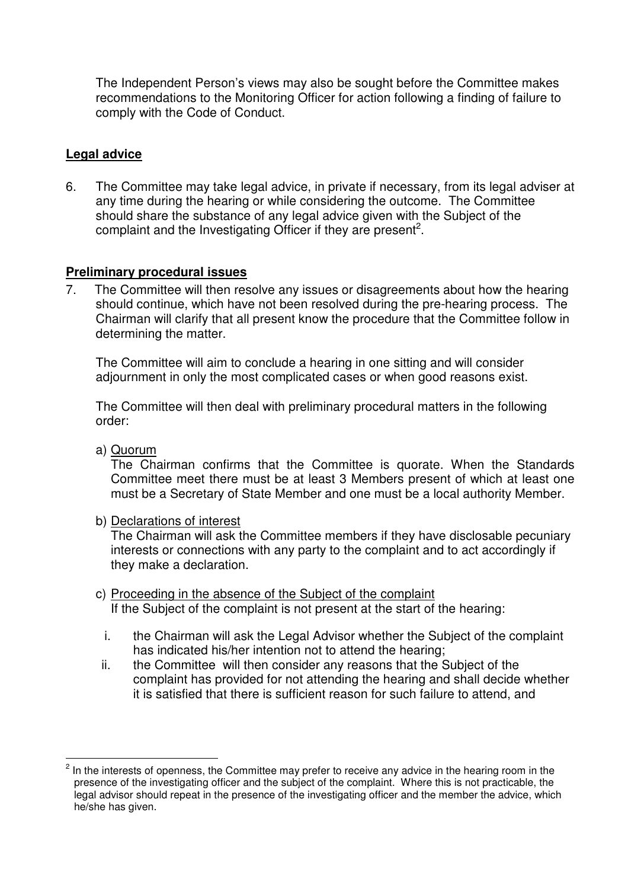The Independent Person's views may also be sought before the Committee makes recommendations to the Monitoring Officer for action following a finding of failure to comply with the Code of Conduct.

# **Legal advice**

6. The Committee may take legal advice, in private if necessary, from its legal adviser at any time during the hearing or while considering the outcome. The Committee should share the substance of any legal advice given with the Subject of the complaint and the Investigating Officer if they are present<sup>2</sup>.

# **Preliminary procedural issues**

7. The Committee will then resolve any issues or disagreements about how the hearing should continue, which have not been resolved during the pre-hearing process. The Chairman will clarify that all present know the procedure that the Committee follow in determining the matter.

The Committee will aim to conclude a hearing in one sitting and will consider adjournment in only the most complicated cases or when good reasons exist.

The Committee will then deal with preliminary procedural matters in the following order:

a) Quorum

 $\overline{a}$ 

 The Chairman confirms that the Committee is quorate. When the Standards Committee meet there must be at least 3 Members present of which at least one must be a Secretary of State Member and one must be a local authority Member.

b) Declarations of interest

 The Chairman will ask the Committee members if they have disclosable pecuniary interests or connections with any party to the complaint and to act accordingly if they make a declaration.

- c) Proceeding in the absence of the Subject of the complaint If the Subject of the complaint is not present at the start of the hearing:
	- i. the Chairman will ask the Legal Advisor whether the Subject of the complaint has indicated his/her intention not to attend the hearing;
- ii. the Committee will then consider any reasons that the Subject of the complaint has provided for not attending the hearing and shall decide whether it is satisfied that there is sufficient reason for such failure to attend, and

<sup>2</sup> In the interests of openness, the Committee may prefer to receive any advice in the hearing room in the presence of the investigating officer and the subject of the complaint. Where this is not practicable, the legal advisor should repeat in the presence of the investigating officer and the member the advice, which he/she has given.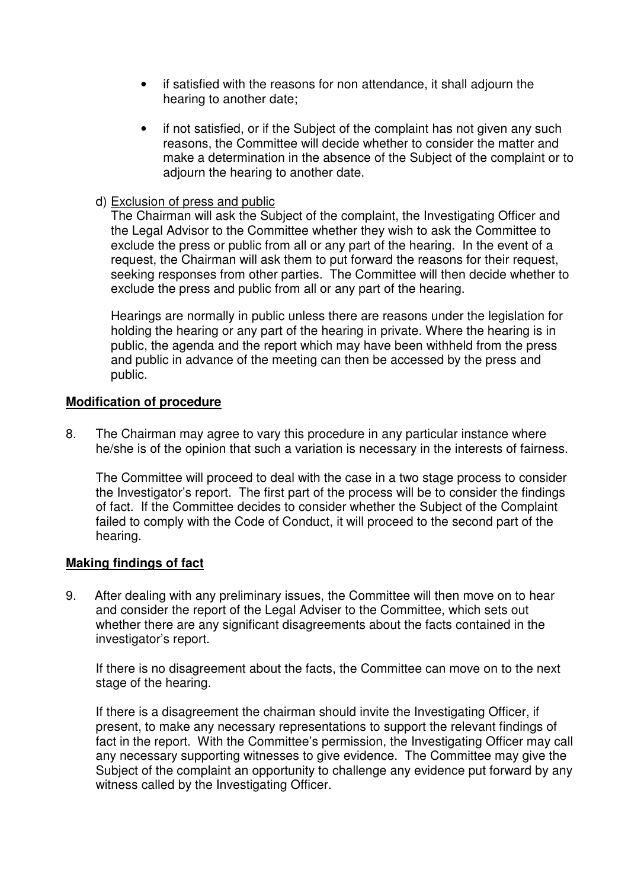- if satisfied with the reasons for non attendance, it shall adjourn the hearing to another date;
- if not satisfied, or if the Subject of the complaint has not given any such reasons, the Committee will decide whether to consider the matter and make a determination in the absence of the Subject of the complaint or to adiourn the hearing to another date.

## d) Exclusion of press and public

 The Chairman will ask the Subject of the complaint, the Investigating Officer and the Legal Advisor to the Committee whether they wish to ask the Committee to exclude the press or public from all or any part of the hearing. In the event of a request, the Chairman will ask them to put forward the reasons for their request, seeking responses from other parties. The Committee will then decide whether to exclude the press and public from all or any part of the hearing.

 Hearings are normally in public unless there are reasons under the legislation for holding the hearing or any part of the hearing in private. Where the hearing is in public, the agenda and the report which may have been withheld from the press and public in advance of the meeting can then be accessed by the press and public.

# **Modification of procedure**

8. The Chairman may agree to vary this procedure in any particular instance where he/she is of the opinion that such a variation is necessary in the interests of fairness.

The Committee will proceed to deal with the case in a two stage process to consider the Investigator's report. The first part of the process will be to consider the findings of fact. If the Committee decides to consider whether the Subject of the Complaint failed to comply with the Code of Conduct, it will proceed to the second part of the hearing.

## **Making findings of fact**

9. After dealing with any preliminary issues, the Committee will then move on to hear and consider the report of the Legal Adviser to the Committee, which sets out whether there are any significant disagreements about the facts contained in the investigator's report.

If there is no disagreement about the facts, the Committee can move on to the next stage of the hearing.

If there is a disagreement the chairman should invite the Investigating Officer, if present, to make any necessary representations to support the relevant findings of fact in the report. With the Committee's permission, the Investigating Officer may call any necessary supporting witnesses to give evidence. The Committee may give the Subject of the complaint an opportunity to challenge any evidence put forward by any witness called by the Investigating Officer.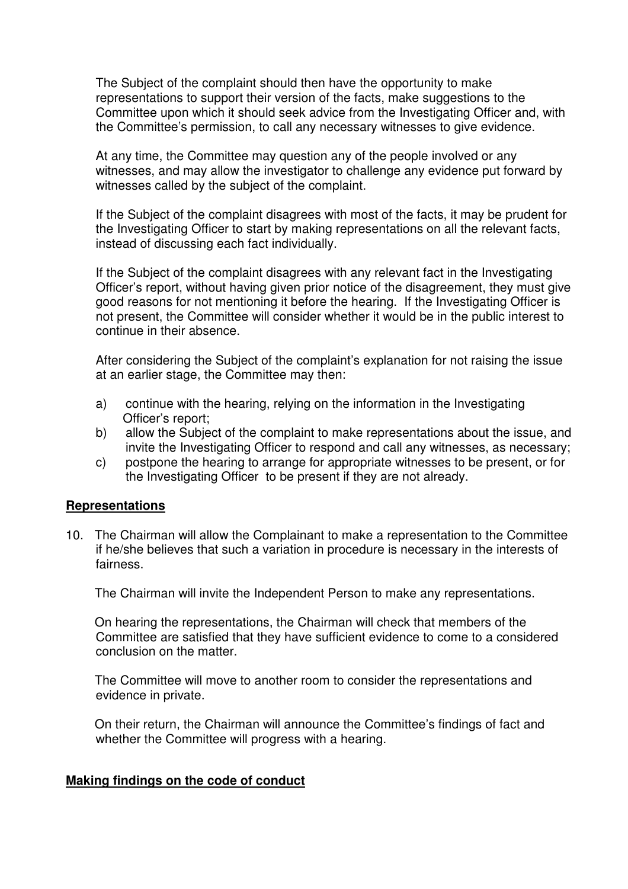The Subject of the complaint should then have the opportunity to make representations to support their version of the facts, make suggestions to the Committee upon which it should seek advice from the Investigating Officer and, with the Committee's permission, to call any necessary witnesses to give evidence.

At any time, the Committee may question any of the people involved or any witnesses, and may allow the investigator to challenge any evidence put forward by witnesses called by the subject of the complaint.

If the Subject of the complaint disagrees with most of the facts, it may be prudent for the Investigating Officer to start by making representations on all the relevant facts, instead of discussing each fact individually.

If the Subject of the complaint disagrees with any relevant fact in the Investigating Officer's report, without having given prior notice of the disagreement, they must give good reasons for not mentioning it before the hearing. If the Investigating Officer is not present, the Committee will consider whether it would be in the public interest to continue in their absence.

After considering the Subject of the complaint's explanation for not raising the issue at an earlier stage, the Committee may then:

- a) continue with the hearing, relying on the information in the Investigating Officer's report;
- b) allow the Subject of the complaint to make representations about the issue, and invite the Investigating Officer to respond and call any witnesses, as necessary;
- c) postpone the hearing to arrange for appropriate witnesses to be present, or for the Investigating Officer to be present if they are not already.

## **Representations**

10. The Chairman will allow the Complainant to make a representation to the Committee if he/she believes that such a variation in procedure is necessary in the interests of fairness.

The Chairman will invite the Independent Person to make any representations.

 On hearing the representations, the Chairman will check that members of the Committee are satisfied that they have sufficient evidence to come to a considered conclusion on the matter.

 The Committee will move to another room to consider the representations and evidence in private.

 On their return, the Chairman will announce the Committee's findings of fact and whether the Committee will progress with a hearing.

## **Making findings on the code of conduct**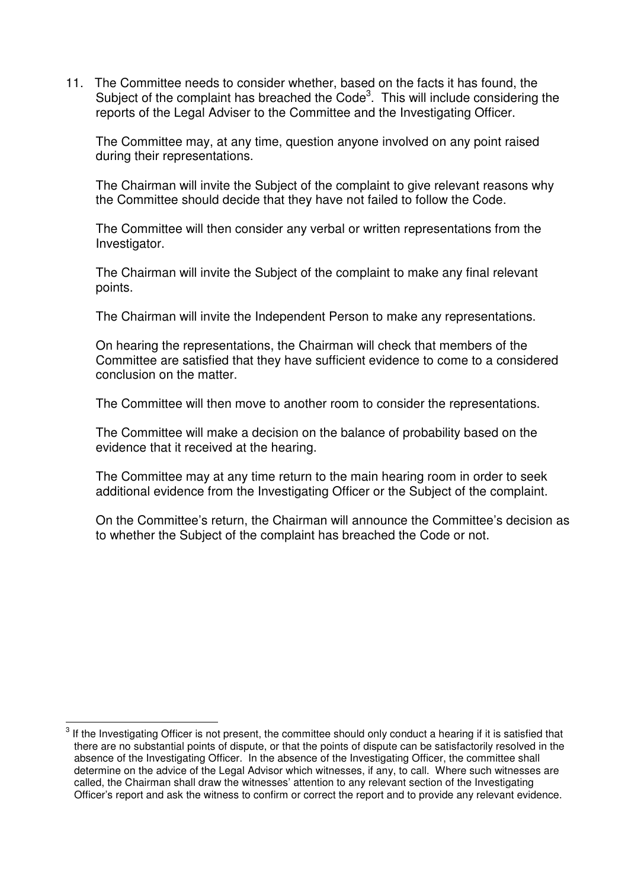11. The Committee needs to consider whether, based on the facts it has found, the Subject of the complaint has breached the Code<sup>3</sup>. This will include considering the reports of the Legal Adviser to the Committee and the Investigating Officer.

The Committee may, at any time, question anyone involved on any point raised during their representations.

The Chairman will invite the Subject of the complaint to give relevant reasons why the Committee should decide that they have not failed to follow the Code.

The Committee will then consider any verbal or written representations from the Investigator.

The Chairman will invite the Subject of the complaint to make any final relevant points.

The Chairman will invite the Independent Person to make any representations.

On hearing the representations, the Chairman will check that members of the Committee are satisfied that they have sufficient evidence to come to a considered conclusion on the matter.

The Committee will then move to another room to consider the representations.

The Committee will make a decision on the balance of probability based on the evidence that it received at the hearing.

The Committee may at any time return to the main hearing room in order to seek additional evidence from the Investigating Officer or the Subject of the complaint.

On the Committee's return, the Chairman will announce the Committee's decision as to whether the Subject of the complaint has breached the Code or not.

 $\overline{a}$ 3 If the Investigating Officer is not present, the committee should only conduct a hearing if it is satisfied that there are no substantial points of dispute, or that the points of dispute can be satisfactorily resolved in the absence of the Investigating Officer. In the absence of the Investigating Officer, the committee shall determine on the advice of the Legal Advisor which witnesses, if any, to call. Where such witnesses are called, the Chairman shall draw the witnesses' attention to any relevant section of the Investigating Officer's report and ask the witness to confirm or correct the report and to provide any relevant evidence.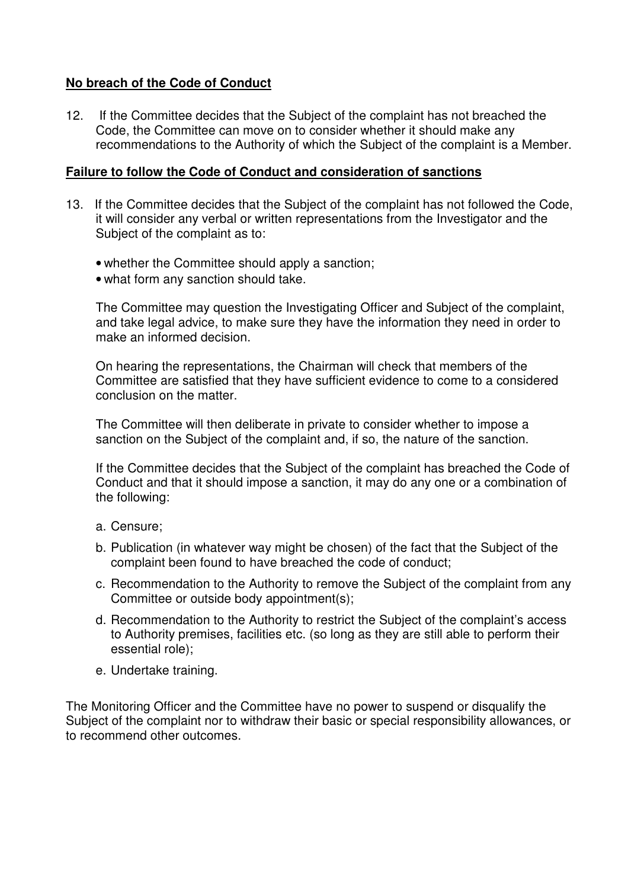# **No breach of the Code of Conduct**

12. If the Committee decides that the Subject of the complaint has not breached the Code, the Committee can move on to consider whether it should make any recommendations to the Authority of which the Subject of the complaint is a Member.

#### **Failure to follow the Code of Conduct and consideration of sanctions**

- 13. If the Committee decides that the Subject of the complaint has not followed the Code, it will consider any verbal or written representations from the Investigator and the Subject of the complaint as to:
	- whether the Committee should apply a sanction;
	- what form any sanction should take.

The Committee may question the Investigating Officer and Subject of the complaint, and take legal advice, to make sure they have the information they need in order to make an informed decision.

On hearing the representations, the Chairman will check that members of the Committee are satisfied that they have sufficient evidence to come to a considered conclusion on the matter.

The Committee will then deliberate in private to consider whether to impose a sanction on the Subject of the complaint and, if so, the nature of the sanction.

If the Committee decides that the Subject of the complaint has breached the Code of Conduct and that it should impose a sanction, it may do any one or a combination of the following:

- a. Censure;
- b. Publication (in whatever way might be chosen) of the fact that the Subject of the complaint been found to have breached the code of conduct;
- c. Recommendation to the Authority to remove the Subject of the complaint from any Committee or outside body appointment(s);
- d. Recommendation to the Authority to restrict the Subject of the complaint's access to Authority premises, facilities etc. (so long as they are still able to perform their essential role);
- e. Undertake training.

The Monitoring Officer and the Committee have no power to suspend or disqualify the Subject of the complaint nor to withdraw their basic or special responsibility allowances, or to recommend other outcomes.